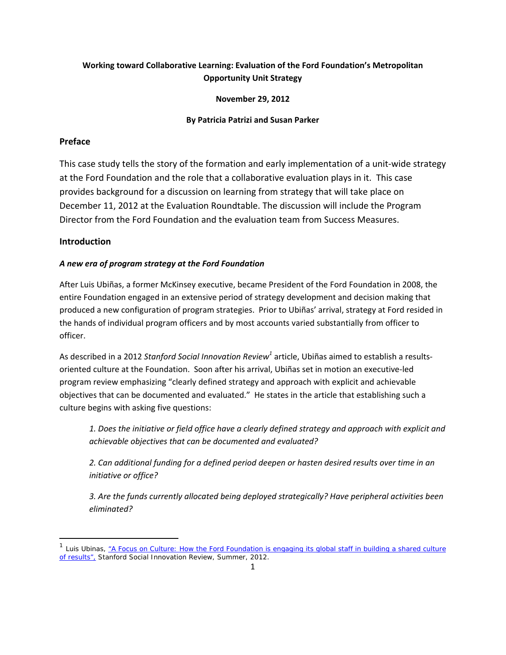# **Working toward Collaborative Learning: Evaluation of the Ford Foundation's Metropolitan Opportunity Unit Strategy**

## **November 29, 2012**

## **By Patricia Patrizi and Susan Parker**

## **Preface**

This case study tells the story of the formation and early implementation of a unit-wide strategy at the Ford Foundation and the role that a collaborative evaluation plays in it. This case provides background for a discussion on learning from strategy that will take place on December 11, 2012 at the Evaluation Roundtable. The discussion will include the Program Director from the Ford Foundation and the evaluation team from Success Measures.

## **Introduction**

## *A new era of program strategy at the Ford Foundation*

After Luis Ubiñas, a former McKinsey executive, became President of the Ford Foundation in 2008, the entire Foundation engaged in an extensive period of strategy development and decision making that produced a new configuration of program strategies. Prior to Ubiñas' arrival, strategy at Ford resided in the hands of individual program officers and by most accounts varied substantially from officer to officer.

As described in a 2012 *Stanford Social Innovation Review<sup>1</sup>* article, Ubiñas aimed to establish a results‐ oriented culture at the Foundation. Soon after his arrival, Ubiñas set in motion an executive‐led program review emphasizing "clearly defined strategy and approach with explicit and achievable objectives that can be documented and evaluated." He states in the article that establishing such a culture begins with asking five questions:

*1. Does the initiative or field office have a clearly defined strategy and approach with explicit and achievable objectives that can be documented and evaluated?*

*2. Can additional funding for a defined period deepen or hasten desired results over time in an initiative or office?*

*3. Are the funds currently allocated being deployed strategically? Have peripheral activities been eliminated?*

<sup>&</sup>lt;sup>1</sup> Luis Ubinas, <u>"A Focus on Culture: How the Ford Foundation is engaging its global staff in building a shared culture</u> of results", *Stanford Social Innovation Review,* Summer, 2012.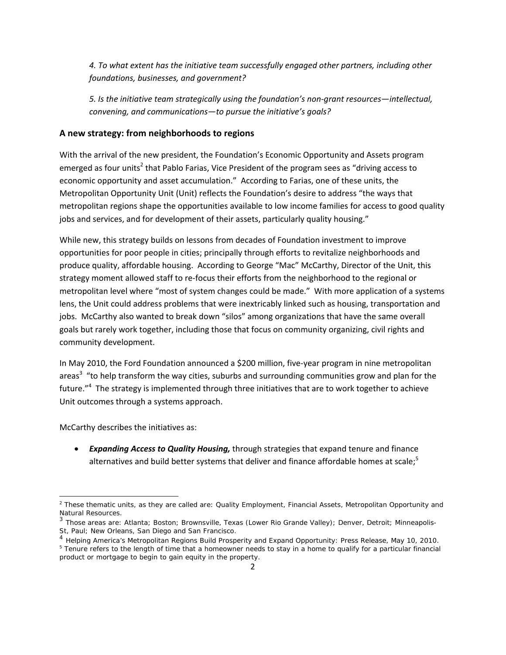*4. To what extent has the initiative team successfully engaged other partners, including other foundations, businesses, and government?*

*5. Is the initiative team strategically using the foundation's non‐grant resources—intellectual, convening, and communications—to pursue the initiative's goals?*

## **A new strategy: from neighborhoods to regions**

With the arrival of the new president, the Foundation's Economic Opportunity and Assets program emerged as four units<sup>2</sup> that Pablo Farias, Vice President of the program sees as "driving access to economic opportunity and asset accumulation." According to Farias, one of these units, the Metropolitan Opportunity Unit (Unit) reflects the Foundation's desire to address "the ways that metropolitan regions shape the opportunities available to low income families for access to good quality jobs and services, and for development of their assets, particularly quality housing."

While new, this strategy builds on lessons from decades of Foundation investment to improve opportunities for poor people in cities; principally through efforts to revitalize neighborhoods and produce quality, affordable housing. According to George "Mac" McCarthy, Director of the Unit, this strategy moment allowed staff to re‐focus their efforts from the neighborhood to the regional or metropolitan level where "most of system changes could be made." With more application of a systems lens, the Unit could address problems that were inextricably linked such as housing, transportation and jobs. McCarthy also wanted to break down "silos" among organizations that have the same overall goals but rarely work together, including those that focus on community organizing, civil rights and community development.

In May 2010, the Ford Foundation announced a \$200 million, five‐year program in nine metropolitan areas<sup>3</sup> "to help transform the way cities, suburbs and surrounding communities grow and plan for the future."<sup>4</sup> The strategy is implemented through three initiatives that are to work together to achieve Unit outcomes through a systems approach.

McCarthy describes the initiatives as:

 *Expanding Access to Quality Housing,* through strategies that expand tenure and finance alternatives and build better systems that deliver and finance affordable homes at scale;<sup>5</sup>

<sup>&</sup>lt;sup>2</sup> These thematic units, as they are called are: Quality Employment, Financial Assets, Metropolitan Opportunity and Natural Resources.

<sup>&</sup>lt;sup>3</sup> Those areas are: Atlanta; Boston; Brownsville, Texas (Lower Rio Grande Valley); Denver, Detroit; Minneapolis-St, Paul; New Orleans, San Diego and San Francisco.

<sup>&</sup>lt;sup>4</sup> Helping America's Metropolitan Regions Build Prosperity and Expand Opportunity: Press Release, May 10, 2010. <sup>5</sup> Tenure refers to the length of time that a homeowner needs to stay in a home to qualify for a particular financial product or mortgage to begin to gain equity in the property.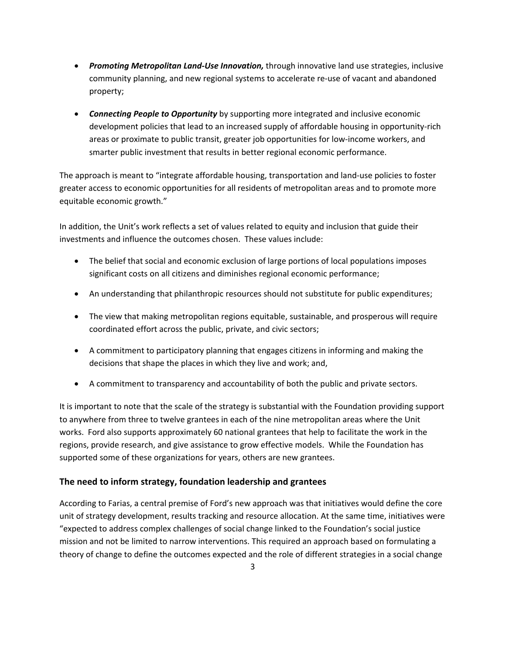- *Promoting Metropolitan Land‐Use Innovation,* through innovative land use strategies, inclusive community planning, and new regional systems to accelerate re‐use of vacant and abandoned property;
- *Connecting People to Opportunity* by supporting more integrated and inclusive economic development policies that lead to an increased supply of affordable housing in opportunity‐rich areas or proximate to public transit, greater job opportunities for low‐income workers, and smarter public investment that results in better regional economic performance.

The approach is meant to "integrate affordable housing, transportation and land‐use policies to foster greater access to economic opportunities for all residents of metropolitan areas and to promote more equitable economic growth."

In addition, the Unit's work reflects a set of values related to equity and inclusion that guide their investments and influence the outcomes chosen. These values include:

- The belief that social and economic exclusion of large portions of local populations imposes significant costs on all citizens and diminishes regional economic performance;
- An understanding that philanthropic resources should not substitute for public expenditures;
- The view that making metropolitan regions equitable, sustainable, and prosperous will require coordinated effort across the public, private, and civic sectors;
- A commitment to participatory planning that engages citizens in informing and making the decisions that shape the places in which they live and work; and,
- A commitment to transparency and accountability of both the public and private sectors.

It is important to note that the scale of the strategy is substantial with the Foundation providing support to anywhere from three to twelve grantees in each of the nine metropolitan areas where the Unit works. Ford also supports approximately 60 national grantees that help to facilitate the work in the regions, provide research, and give assistance to grow effective models. While the Foundation has supported some of these organizations for years, others are new grantees.

## **The need to inform strategy, foundation leadership and grantees**

According to Farias, a central premise of Ford's new approach was that initiatives would define the core unit of strategy development, results tracking and resource allocation. At the same time, initiatives were "expected to address complex challenges of social change linked to the Foundation's social justice mission and not be limited to narrow interventions. This required an approach based on formulating a theory of change to define the outcomes expected and the role of different strategies in a social change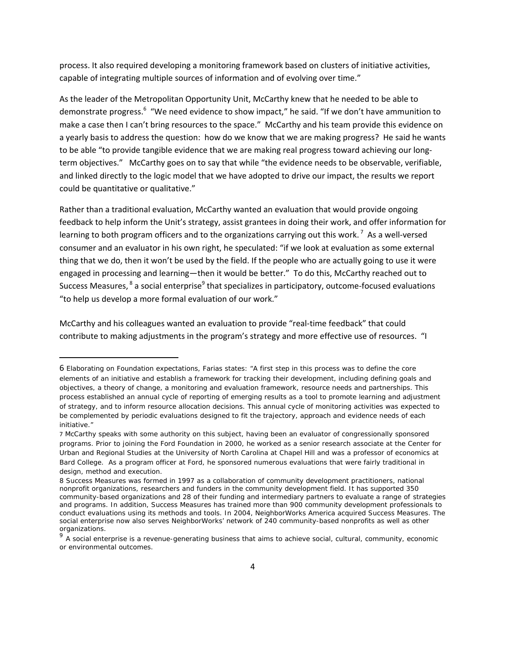process. It also required developing a monitoring framework based on clusters of initiative activities, capable of integrating multiple sources of information and of evolving over time."

As the leader of the Metropolitan Opportunity Unit, McCarthy knew that he needed to be able to demonstrate progress.<sup>6</sup> "We need evidence to show impact," he said. "If we don't have ammunition to make a case then I can't bring resources to the space." McCarthy and his team provide this evidence on a yearly basis to address the question: how do we know that we are making progress? He said he wants to be able "to provide tangible evidence that we are making real progress toward achieving our longterm objectives." McCarthy goes on to say that while "the evidence needs to be observable, verifiable, and linked directly to the logic model that we have adopted to drive our impact, the results we report could be quantitative or qualitative."

Rather than a traditional evaluation, McCarthy wanted an evaluation that would provide ongoing feedback to help inform the Unit's strategy, assist grantees in doing their work, and offer information for learning to both program officers and to the organizations carrying out this work.<sup>7</sup> As a well-versed consumer and an evaluator in his own right, he speculated: "if we look at evaluation as some external thing that we do, then it won't be used by the field. If the people who are actually going to use it were engaged in processing and learning—then it would be better." To do this, McCarthy reached out to Success Measures, <sup>8</sup> a social enterprise<sup>9</sup> that specializes in participatory, outcome-focused evaluations "to help us develop a more formal evaluation of our work."

McCarthy and his colleagues wanted an evaluation to provide "real‐time feedback" that could contribute to making adjustments in the program's strategy and more effective use of resources. "I

<sup>6</sup> Elaborating on Foundation expectations, Farias states: "A first step in this process was to define the core elements of an initiative and establish a framework for tracking their development, including defining goals and objectives, a theory of change, a monitoring and evaluation framework, resource needs and partnerships. This process established an annual cycle of reporting of emerging results as a tool to promote learning and adjustment of strategy, and to inform resource allocation decisions. This annual cycle of monitoring activities was expected to be complemented by periodic evaluations designed to fit the trajectory, approach and evidence needs of each initiative."

<sup>7</sup> McCarthy speaks with some authority on this subject, having been an evaluator of congressionally sponsored programs. Prior to joining the Ford Foundation in 2000, he worked as a senior research associate at the Center for Urban and Regional Studies at the University of North Carolina at Chapel Hill and was a professor of economics at Bard College. As a program officer at Ford, he sponsored numerous evaluations that were fairly traditional in design, method and execution.

<sup>8</sup> Success Measures was formed in 1997 as a collaboration of community development practitioners, national nonprofit organizations, researchers and funders in the community development field. It has supported 350 community-based organizations and 28 of their funding and intermediary partners to evaluate a range of strategies and programs. In addition, Success Measures has trained more than 900 community development professionals to conduct evaluations using its methods and tools. In 2004, NeighborWorks America acquired Success Measures. The social enterprise now also serves NeighborWorks' network of 240 community-based nonprofits as well as other organizations.

 $9<sup>9</sup>$  A social enterprise is a revenue-generating business that aims to achieve social, cultural, community, economic or environmental outcomes.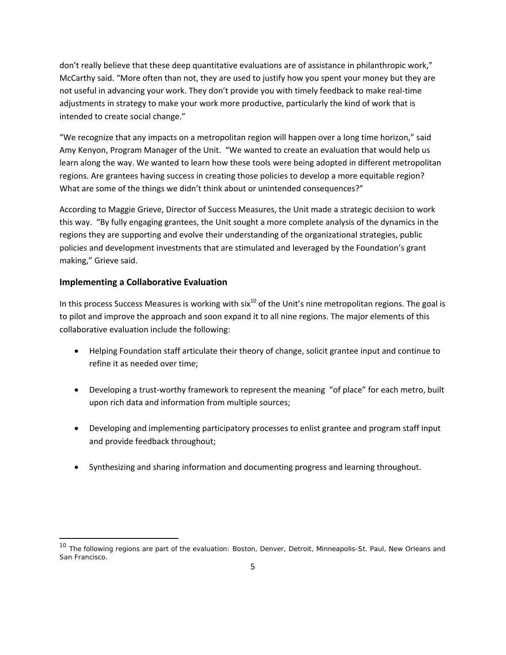don't really believe that these deep quantitative evaluations are of assistance in philanthropic work," McCarthy said. "More often than not, they are used to justify how you spent your money but they are not useful in advancing your work. They don't provide you with timely feedback to make real‐time adjustments in strategy to make your work more productive, particularly the kind of work that is intended to create social change."

"We recognize that any impacts on a metropolitan region will happen over a long time horizon," said Amy Kenyon, Program Manager of the Unit. "We wanted to create an evaluation that would help us learn along the way. We wanted to learn how these tools were being adopted in different metropolitan regions. Are grantees having success in creating those policies to develop a more equitable region? What are some of the things we didn't think about or unintended consequences?"

According to Maggie Grieve, Director of Success Measures, the Unit made a strategic decision to work this way. "By fully engaging grantees, the Unit sought a more complete analysis of the dynamics in the regions they are supporting and evolve their understanding of the organizational strategies, public policies and development investments that are stimulated and leveraged by the Foundation's grant making," Grieve said.

## **Implementing a Collaborative Evaluation**

In this process Success Measures is working with six $^{10}$  of the Unit's nine metropolitan regions. The goal is to pilot and improve the approach and soon expand it to all nine regions. The major elements of this collaborative evaluation include the following:

- Helping Foundation staff articulate their theory of change, solicit grantee input and continue to refine it as needed over time;
- Developing a trust-worthy framework to represent the meaning "of place" for each metro, built upon rich data and information from multiple sources;
- Developing and implementing participatory processes to enlist grantee and program staff input and provide feedback throughout;
- Synthesizing and sharing information and documenting progress and learning throughout.

<sup>&</sup>lt;sup>10</sup> The following regions are part of the evaluation: Boston, Denver, Detroit, Minneapolis-St. Paul, New Orleans and San Francisco.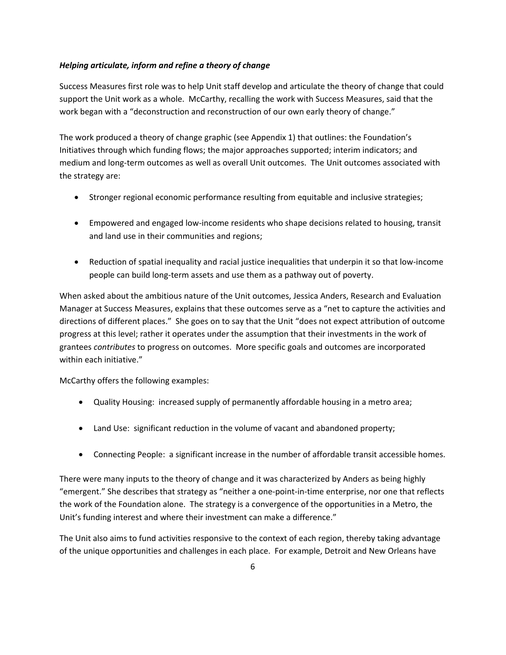## *Helping articulate, inform and refine a theory of change*

Success Measures first role was to help Unit staff develop and articulate the theory of change that could support the Unit work as a whole. McCarthy, recalling the work with Success Measures, said that the work began with a "deconstruction and reconstruction of our own early theory of change."

The work produced a theory of change graphic (see Appendix 1) that outlines: the Foundation's Initiatives through which funding flows; the major approaches supported; interim indicators; and medium and long‐term outcomes as well as overall Unit outcomes. The Unit outcomes associated with the strategy are:

- Stronger regional economic performance resulting from equitable and inclusive strategies;
- Empowered and engaged low‐income residents who shape decisions related to housing, transit and land use in their communities and regions;
- Reduction of spatial inequality and racial justice inequalities that underpin it so that low-income people can build long‐term assets and use them as a pathway out of poverty.

When asked about the ambitious nature of the Unit outcomes, Jessica Anders, Research and Evaluation Manager at Success Measures, explains that these outcomes serve as a "net to capture the activities and directions of different places." She goes on to say that the Unit "does not expect attribution of outcome progress at this level; rather it operates under the assumption that their investments in the work of grantees *contributes* to progress on outcomes. More specific goals and outcomes are incorporated within each initiative."

McCarthy offers the following examples:

- Quality Housing: increased supply of permanently affordable housing in a metro area;
- Land Use: significant reduction in the volume of vacant and abandoned property;
- Connecting People: a significant increase in the number of affordable transit accessible homes.

There were many inputs to the theory of change and it was characterized by Anders as being highly "emergent." She describes that strategy as "neither a one‐point‐in‐time enterprise, nor one that reflects the work of the Foundation alone. The strategy is a convergence of the opportunities in a Metro, the Unit's funding interest and where their investment can make a difference."

The Unit also aims to fund activities responsive to the context of each region, thereby taking advantage of the unique opportunities and challenges in each place. For example, Detroit and New Orleans have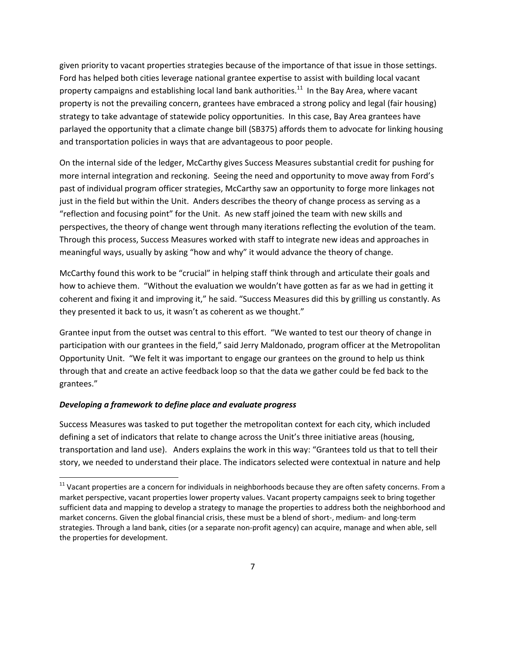given priority to vacant properties strategies because of the importance of that issue in those settings. Ford has helped both cities leverage national grantee expertise to assist with building local vacant property campaigns and establishing local land bank authorities.<sup>11</sup> In the Bay Area, where vacant property is not the prevailing concern, grantees have embraced a strong policy and legal (fair housing) strategy to take advantage of statewide policy opportunities. In this case, Bay Area grantees have parlayed the opportunity that a climate change bill (SB375) affords them to advocate for linking housing and transportation policies in ways that are advantageous to poor people.

On the internal side of the ledger, McCarthy gives Success Measures substantial credit for pushing for more internal integration and reckoning. Seeing the need and opportunity to move away from Ford's past of individual program officer strategies, McCarthy saw an opportunity to forge more linkages not just in the field but within the Unit. Anders describes the theory of change process as serving as a "reflection and focusing point" for the Unit. As new staff joined the team with new skills and perspectives, the theory of change went through many iterations reflecting the evolution of the team. Through this process, Success Measures worked with staff to integrate new ideas and approaches in meaningful ways, usually by asking "how and why" it would advance the theory of change.

McCarthy found this work to be "crucial" in helping staff think through and articulate their goals and how to achieve them. "Without the evaluation we wouldn't have gotten as far as we had in getting it coherent and fixing it and improving it," he said. "Success Measures did this by grilling us constantly. As they presented it back to us, it wasn't as coherent as we thought."

Grantee input from the outset was central to this effort. "We wanted to test our theory of change in participation with our grantees in the field," said Jerry Maldonado, program officer at the Metropolitan Opportunity Unit. "We felt it was important to engage our grantees on the ground to help us think through that and create an active feedback loop so that the data we gather could be fed back to the grantees."

#### *Developing a framework to define place and evaluate progress*

Success Measures was tasked to put together the metropolitan context for each city, which included defining a set of indicators that relate to change across the Unit's three initiative areas (housing, transportation and land use). Anders explains the work in this way: "Grantees told us that to tell their story, we needed to understand their place. The indicators selected were contextual in nature and help

 $11$  Vacant properties are a concern for individuals in neighborhoods because they are often safety concerns. From a market perspective, vacant properties lower property values. Vacant property campaigns seek to bring together sufficient data and mapping to develop a strategy to manage the properties to address both the neighborhood and market concerns. Given the global financial crisis, these must be a blend of short-, medium- and long-term strategies. Through a land bank, cities (or a separate non‐profit agency) can acquire, manage and when able, sell the properties for development.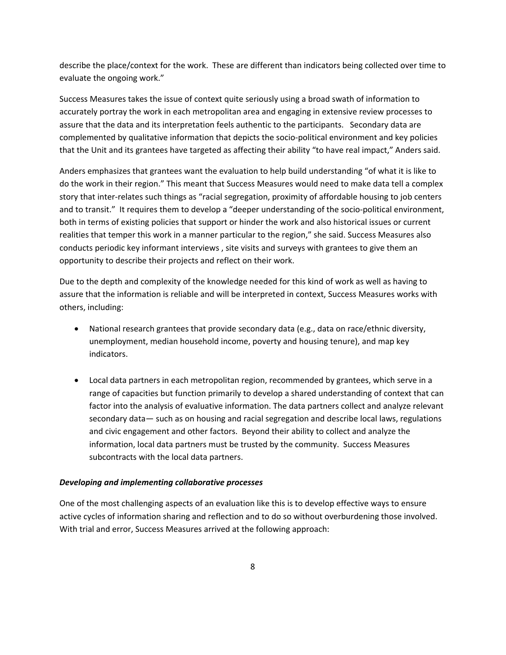describe the place/context for the work. These are different than indicators being collected over time to evaluate the ongoing work."

Success Measures takes the issue of context quite seriously using a broad swath of information to accurately portray the work in each metropolitan area and engaging in extensive review processes to assure that the data and its interpretation feels authentic to the participants. Secondary data are complemented by qualitative information that depicts the socio‐political environment and key policies that the Unit and its grantees have targeted as affecting their ability "to have real impact," Anders said.

Anders emphasizes that grantees want the evaluation to help build understanding "of what it is like to do the work in their region." This meant that Success Measures would need to make data tell a complex story that inter‐relates such things as "racial segregation, proximity of affordable housing to job centers and to transit." It requires them to develop a "deeper understanding of the socio-political environment, both in terms of existing policies that support or hinder the work and also historical issues or current realities that temper this work in a manner particular to the region," she said. Success Measures also conducts periodic key informant interviews , site visits and surveys with grantees to give them an opportunity to describe their projects and reflect on their work.

Due to the depth and complexity of the knowledge needed for this kind of work as well as having to assure that the information is reliable and will be interpreted in context, Success Measures works with others, including:

- National research grantees that provide secondary data (e.g., data on race/ethnic diversity, unemployment, median household income, poverty and housing tenure), and map key indicators.
- Local data partners in each metropolitan region, recommended by grantees, which serve in a range of capacities but function primarily to develop a shared understanding of context that can factor into the analysis of evaluative information. The data partners collect and analyze relevant secondary data— such as on housing and racial segregation and describe local laws, regulations and civic engagement and other factors. Beyond their ability to collect and analyze the information, local data partners must be trusted by the community. Success Measures subcontracts with the local data partners.

#### *Developing and implementing collaborative processes*

One of the most challenging aspects of an evaluation like this is to develop effective ways to ensure active cycles of information sharing and reflection and to do so without overburdening those involved. With trial and error, Success Measures arrived at the following approach: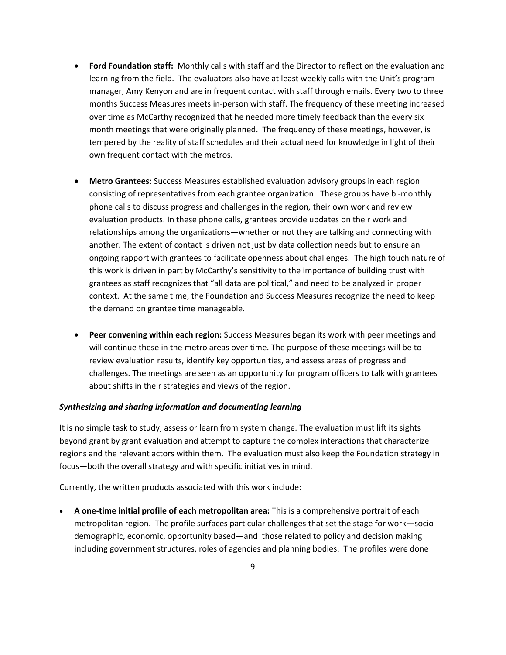- **Ford Foundation staff:** Monthly calls with staff and the Director to reflect on the evaluation and learning from the field. The evaluators also have at least weekly calls with the Unit's program manager, Amy Kenyon and are in frequent contact with staff through emails. Every two to three months Success Measures meets in‐person with staff. The frequency of these meeting increased over time as McCarthy recognized that he needed more timely feedback than the every six month meetings that were originally planned. The frequency of these meetings, however, is tempered by the reality of staff schedules and their actual need for knowledge in light of their own frequent contact with the metros.
- **Metro Grantees**: Success Measures established evaluation advisory groups in each region consisting of representatives from each grantee organization. These groups have bi-monthly phone calls to discuss progress and challenges in the region, their own work and review evaluation products. In these phone calls, grantees provide updates on their work and relationships among the organizations—whether or not they are talking and connecting with another. The extent of contact is driven not just by data collection needs but to ensure an ongoing rapport with grantees to facilitate openness about challenges. The high touch nature of this work is driven in part by McCarthy's sensitivity to the importance of building trust with grantees as staff recognizes that "all data are political," and need to be analyzed in proper context. At the same time, the Foundation and Success Measures recognize the need to keep the demand on grantee time manageable.
- **Peer convening within each region:** Success Measures began its work with peer meetings and will continue these in the metro areas over time. The purpose of these meetings will be to review evaluation results, identify key opportunities, and assess areas of progress and challenges. The meetings are seen as an opportunity for program officers to talk with grantees about shifts in their strategies and views of the region.

#### *Synthesizing and sharing information and documenting learning*

It is no simple task to study, assess or learn from system change. The evaluation must lift its sights beyond grant by grant evaluation and attempt to capture the complex interactions that characterize regions and the relevant actors within them. The evaluation must also keep the Foundation strategy in focus—both the overall strategy and with specific initiatives in mind.

Currently, the written products associated with this work include:

 **A one‐time initial profile of each metropolitan area:** This is a comprehensive portrait of each metropolitan region. The profile surfaces particular challenges that set the stage for work—sociodemographic, economic, opportunity based—and those related to policy and decision making including government structures, roles of agencies and planning bodies. The profiles were done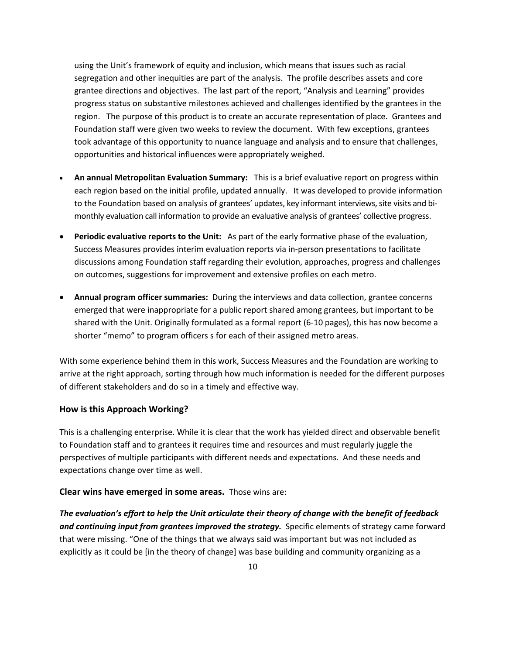using the Unit's framework of equity and inclusion, which means that issues such as racial segregation and other inequities are part of the analysis. The profile describes assets and core grantee directions and objectives. The last part of the report, "Analysis and Learning" provides progress status on substantive milestones achieved and challenges identified by the grantees in the region. The purpose of this product is to create an accurate representation of place. Grantees and Foundation staff were given two weeks to review the document. With few exceptions, grantees took advantage of this opportunity to nuance language and analysis and to ensure that challenges, opportunities and historical influences were appropriately weighed.

- **An annual Metropolitan Evaluation Summary:** This is a brief evaluative report on progress within each region based on the initial profile, updated annually. It was developed to provide information to the Foundation based on analysis of grantees' updates, key informant interviews, site visits and bimonthly evaluation call information to provide an evaluative analysis of grantees' collective progress.
- **Periodic evaluative reports to the Unit:** As part of the early formative phase of the evaluation, Success Measures provides interim evaluation reports via in‐person presentations to facilitate discussions among Foundation staff regarding their evolution, approaches, progress and challenges on outcomes, suggestions for improvement and extensive profiles on each metro.
- **Annual program officer summaries:** During the interviews and data collection, grantee concerns emerged that were inappropriate for a public report shared among grantees, but important to be shared with the Unit. Originally formulated as a formal report (6‐10 pages), this has now become a shorter "memo" to program officers s for each of their assigned metro areas.

With some experience behind them in this work, Success Measures and the Foundation are working to arrive at the right approach, sorting through how much information is needed for the different purposes of different stakeholders and do so in a timely and effective way.

#### **How is this Approach Working?**

This is a challenging enterprise. While it is clear that the work has yielded direct and observable benefit to Foundation staff and to grantees it requires time and resources and must regularly juggle the perspectives of multiple participants with different needs and expectations. And these needs and expectations change over time as well.

#### **Clear wins have emerged in some areas.** Those wins are:

*The evaluation's effort to help the Unit articulate their theory of change with the benefit of feedback and continuing input from grantees improved the strategy.* Specific elements of strategy came forward that were missing. "One of the things that we always said was important but was not included as explicitly as it could be [in the theory of change] was base building and community organizing as a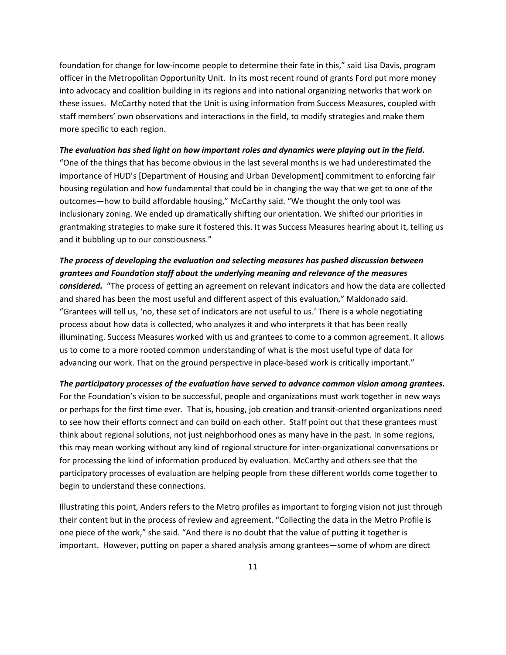foundation for change for low-income people to determine their fate in this," said Lisa Davis, program officer in the Metropolitan Opportunity Unit. In its most recent round of grants Ford put more money into advocacy and coalition building in its regions and into national organizing networks that work on these issues. McCarthy noted that the Unit is using information from Success Measures, coupled with staff members' own observations and interactions in the field, to modify strategies and make them more specific to each region.

#### The evaluation has shed light on how important roles and dynamics were playing out in the field.

"One of the things that has become obvious in the last several months is we had underestimated the importance of HUD's [Department of Housing and Urban Development] commitment to enforcing fair housing regulation and how fundamental that could be in changing the way that we get to one of the outcomes—how to build affordable housing," McCarthy said. "We thought the only tool was inclusionary zoning. We ended up dramatically shifting our orientation. We shifted our priorities in grantmaking strategies to make sure it fostered this. It was Success Measures hearing about it, telling us and it bubbling up to our consciousness."

## *The process of developing the evaluation and selecting measures has pushed discussion between grantees and Foundation staff about the underlying meaning and relevance of the measures*

*considered.* "The process of getting an agreement on relevant indicators and how the data are collected and shared has been the most useful and different aspect of this evaluation," Maldonado said. "Grantees will tell us, 'no, these set of indicators are not useful to us.' There is a whole negotiating process about how data is collected, who analyzes it and who interprets it that has been really illuminating. Success Measures worked with us and grantees to come to a common agreement. It allows us to come to a more rooted common understanding of what is the most useful type of data for advancing our work. That on the ground perspective in place-based work is critically important."

### *The participatory processes of the evaluation have served to advance common vision among grantees.*

For the Foundation's vision to be successful, people and organizations must work together in new ways or perhaps for the first time ever. That is, housing, job creation and transit‐oriented organizations need to see how their efforts connect and can build on each other. Staff point out that these grantees must think about regional solutions, not just neighborhood ones as many have in the past. In some regions, this may mean working without any kind of regional structure for inter‐organizational conversations or for processing the kind of information produced by evaluation. McCarthy and others see that the participatory processes of evaluation are helping people from these different worlds come together to begin to understand these connections.

Illustrating this point, Anders refers to the Metro profiles as important to forging vision not just through their content but in the process of review and agreement. "Collecting the data in the Metro Profile is one piece of the work," she said. "And there is no doubt that the value of putting it together is important. However, putting on paper a shared analysis among grantees—some of whom are direct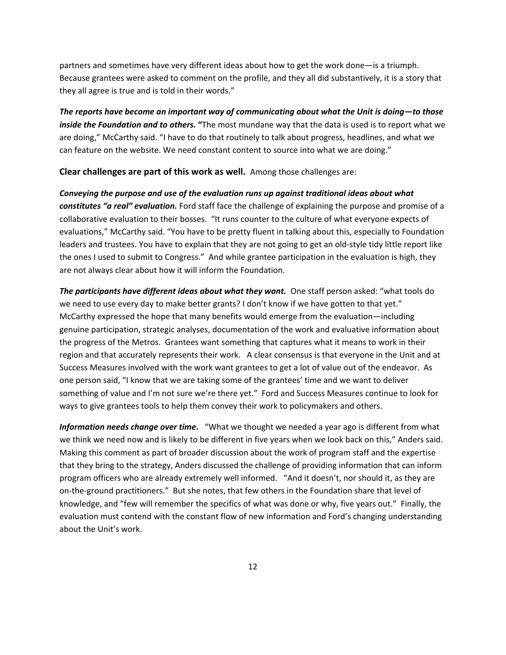partners and sometimes have very different ideas about how to get the work done—is a triumph. Because grantees were asked to comment on the profile, and they all did substantively, it is a story that they all agree is true and is told in their words."

*The reports have become an important way of communicating about what the Unit is doing—to those inside the Foundation and to others.* **"**The most mundane way that the data is used is to report what we are doing," McCarthy said. "I have to do that routinely to talk about progress, headlines, and what we can feature on the website. We need constant content to source into what we are doing."

**Clear challenges are part of this work as well.** Among those challenges are:

*Conveying the purpose and use of the evaluation runs up against traditional ideas about what constitutes "a real" evaluation.* Ford staff face the challenge of explaining the purpose and promise of a collaborative evaluation to their bosses. "It runs counter to the culture of what everyone expects of evaluations," McCarthy said. "You have to be pretty fluent in talking about this, especially to Foundation leaders and trustees. You have to explain that they are not going to get an old‐style tidy little report like the ones I used to submit to Congress." And while grantee participation in the evaluation is high, they are not always clear about how it will inform the Foundation.

*The participants have different ideas about what they want.* One staff person asked: "what tools do we need to use every day to make better grants? I don't know if we have gotten to that yet." McCarthy expressed the hope that many benefits would emerge from the evaluation—including genuine participation, strategic analyses, documentation of the work and evaluative information about the progress of the Metros. Grantees want something that captures what it means to work in their region and that accurately represents their work. A clear consensus is that everyone in the Unit and at Success Measures involved with the work want grantees to get a lot of value out of the endeavor. As one person said, "I know that we are taking some of the grantees' time and we want to deliver something of value and I'm not sure we're there yet." Ford and Success Measures continue to look for ways to give grantees tools to help them convey their work to policymakers and others.

*Information needs change over time***.** "What we thought we needed a year ago is different from what we think we need now and is likely to be different in five years when we look back on this," Anders said. Making this comment as part of broader discussion about the work of program staff and the expertise that they bring to the strategy, Anders discussed the challenge of providing information that can inform program officers who are already extremely well informed. "And it doesn't, nor should it, as they are on-the-ground practitioners." But she notes, that few others in the Foundation share that level of knowledge, and "few will remember the specifics of what was done or why, five years out." Finally, the evaluation must contend with the constant flow of new information and Ford's changing understanding about the Unit's work.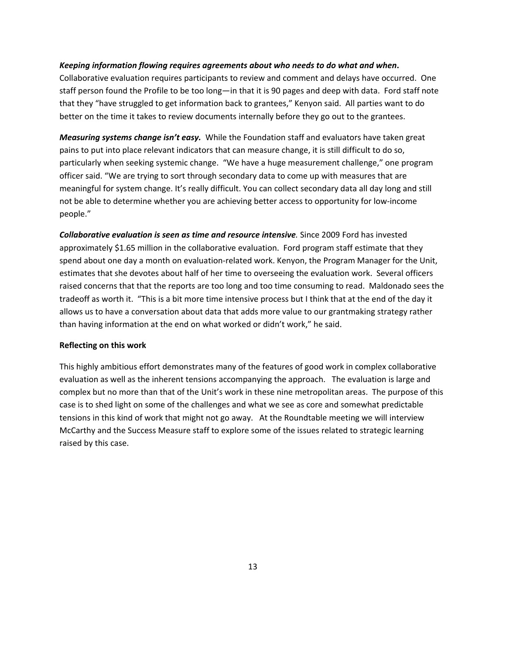#### *Keeping information flowing requires agreements about who needs to do what and when***.**

Collaborative evaluation requires participants to review and comment and delays have occurred. One staff person found the Profile to be too long—in that it is 90 pages and deep with data. Ford staff note that they "have struggled to get information back to grantees," Kenyon said. All parties want to do better on the time it takes to review documents internally before they go out to the grantees.

*Measuring systems change isn't easy.* While the Foundation staff and evaluators have taken great pains to put into place relevant indicators that can measure change, it is still difficult to do so, particularly when seeking systemic change. "We have a huge measurement challenge," one program officer said. "We are trying to sort through secondary data to come up with measures that are meaningful for system change. It's really difficult. You can collect secondary data all day long and still not be able to determine whether you are achieving better access to opportunity for low‐income people."

*Collaborative evaluation is seen as time and resource intensive.* Since 2009 Ford has invested approximately \$1.65 million in the collaborative evaluation. Ford program staff estimate that they spend about one day a month on evaluation-related work. Kenyon, the Program Manager for the Unit, estimates that she devotes about half of her time to overseeing the evaluation work. Several officers raised concerns that that the reports are too long and too time consuming to read. Maldonado sees the tradeoff as worth it. "This is a bit more time intensive process but I think that at the end of the day it allows us to have a conversation about data that adds more value to our grantmaking strategy rather than having information at the end on what worked or didn't work," he said.

#### **Reflecting on this work**

This highly ambitious effort demonstrates many of the features of good work in complex collaborative evaluation as well as the inherent tensions accompanying the approach. The evaluation is large and complex but no more than that of the Unit's work in these nine metropolitan areas. The purpose of this case is to shed light on some of the challenges and what we see as core and somewhat predictable tensions in this kind of work that might not go away. At the Roundtable meeting we will interview McCarthy and the Success Measure staff to explore some of the issues related to strategic learning raised by this case.